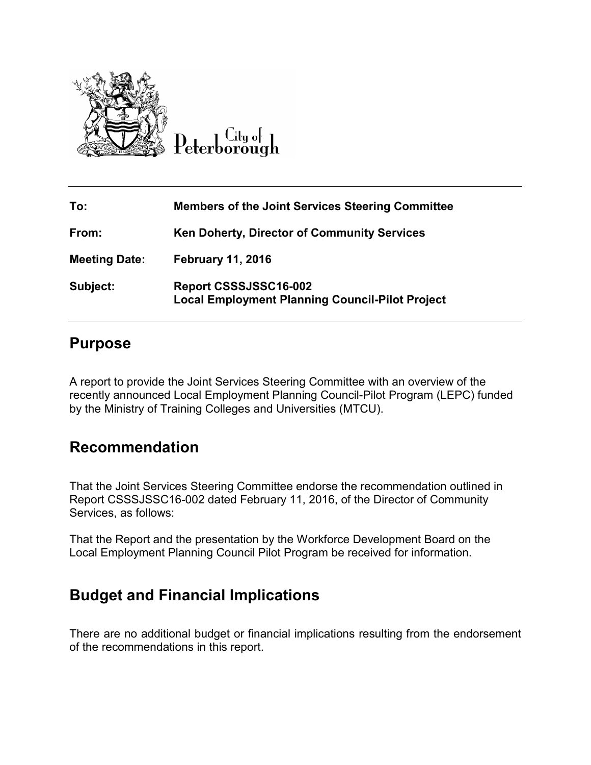

City of

| To:                  | <b>Members of the Joint Services Steering Committee</b>                         |
|----------------------|---------------------------------------------------------------------------------|
| From:                | <b>Ken Doherty, Director of Community Services</b>                              |
| <b>Meeting Date:</b> | <b>February 11, 2016</b>                                                        |
| Subject:             | Report CSSSJSSC16-002<br><b>Local Employment Planning Council-Pilot Project</b> |

## **Purpose**

A report to provide the Joint Services Steering Committee with an overview of the recently announced Local Employment Planning Council-Pilot Program (LEPC) funded by the Ministry of Training Colleges and Universities (MTCU).

## **Recommendation**

That the Joint Services Steering Committee endorse the recommendation outlined in Report CSSSJSSC16-002 dated February 11, 2016, of the Director of Community Services, as follows:

That the Report and the presentation by the Workforce Development Board on the Local Employment Planning Council Pilot Program be received for information.

## **Budget and Financial Implications**

There are no additional budget or financial implications resulting from the endorsement of the recommendations in this report.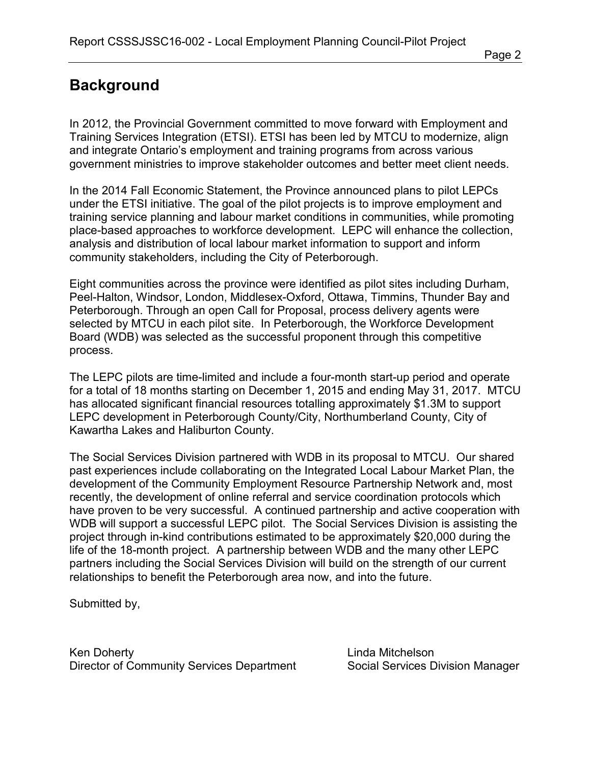## **Background**

In 2012, the Provincial Government committed to move forward with Employment and Training Services Integration (ETSI). ETSI has been led by MTCU to modernize, align and integrate Ontario's employment and training programs from across various government ministries to improve stakeholder outcomes and better meet client needs.

In the 2014 Fall Economic Statement, the Province announced plans to pilot LEPCs under the ETSI initiative. The goal of the pilot projects is to improve employment and training service planning and labour market conditions in communities, while promoting place-based approaches to workforce development. LEPC will enhance the collection, analysis and distribution of local labour market information to support and inform community stakeholders, including the City of Peterborough.

Eight communities across the province were identified as pilot sites including Durham, Peel-Halton, Windsor, London, Middlesex-Oxford, Ottawa, Timmins, Thunder Bay and Peterborough. Through an open Call for Proposal, process delivery agents were selected by MTCU in each pilot site. In Peterborough, the Workforce Development Board (WDB) was selected as the successful proponent through this competitive process.

The LEPC pilots are time-limited and include a four-month start-up period and operate for a total of 18 months starting on December 1, 2015 and ending May 31, 2017. MTCU has allocated significant financial resources totalling approximately \$1.3M to support LEPC development in Peterborough County/City, Northumberland County, City of Kawartha Lakes and Haliburton County.

The Social Services Division partnered with WDB in its proposal to MTCU. Our shared past experiences include collaborating on the Integrated Local Labour Market Plan, the development of the Community Employment Resource Partnership Network and, most recently, the development of online referral and service coordination protocols which have proven to be very successful. A continued partnership and active cooperation with WDB will support a successful LEPC pilot. The Social Services Division is assisting the project through in-kind contributions estimated to be approximately \$20,000 during the life of the 18-month project. A partnership between WDB and the many other LEPC partners including the Social Services Division will build on the strength of our current relationships to benefit the Peterborough area now, and into the future.

Submitted by,

Ken Doherty **Linda Mitchelson** Director of Community Services Department Social Services Division Manager